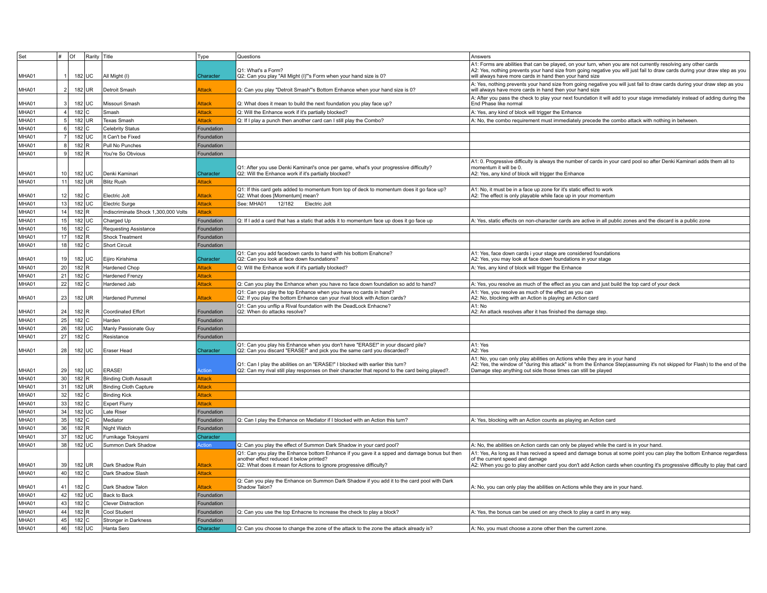| Set   | l #             | Of                 | Rarity   | Title                                | Type          | Questions                                                                                                                                      | Answers                                                                                                                                                                               |
|-------|-----------------|--------------------|----------|--------------------------------------|---------------|------------------------------------------------------------------------------------------------------------------------------------------------|---------------------------------------------------------------------------------------------------------------------------------------------------------------------------------------|
|       |                 |                    |          |                                      |               |                                                                                                                                                | A1: Forms are abilities that can be played, on your turn, when you are not currently resolving any other cards                                                                        |
| MHA01 |                 |                    | 182 UC   | All Might (I)                        | Character     | Q1: What's a Form?<br>Q2: Can you play "All Might (I)"'s Form when your hand size is 0?                                                        | A2: Yes, nothing prevents your hand size from going negative you will just fail to draw cards during your draw step as you<br>will always have more cards in hand then your hand size |
|       |                 |                    |          |                                      |               |                                                                                                                                                | A: Yes, nothing prevents your hand size from going negative you will just fail to draw cards during your draw step as you                                                             |
| MHA01 |                 |                    | 182 UR   | Detroit Smash                        | Attack        | Q: Can you play "Detroit Smash"'s Bottom Enhance when your hand size is 0?                                                                     | will always have more cards in hand then your hand size                                                                                                                               |
|       |                 |                    |          |                                      |               |                                                                                                                                                | A: After you pass the check to play your next foundation it will add to your stage immediately instead of adding during the                                                           |
| MHA01 | 3               |                    | 182 UC   | Missouri Smash                       | Attack        | Q: What does it mean to build the next foundation you play face up?                                                                            | End Phase like normal                                                                                                                                                                 |
| MHA01 | 4               | $182$ C            |          | Smash                                | <b>Attack</b> | Q: Will the Enhance work if it's partially blocked?                                                                                            | A: Yes, any kind of block will trigger the Enhance                                                                                                                                    |
| MHA01 | 5 <sup>1</sup>  |                    | 182 UR   | <b>Texas Smash</b>                   | Attack        | Q: If I play a punch then another card can I still play the Combo?                                                                             | A: No, the combo requirement must immediately precede the combo attack with nothing in between.                                                                                       |
| MHA01 | 6               | 182 C              |          | <b>Celebrity Status</b>              | Foundation    |                                                                                                                                                |                                                                                                                                                                                       |
| MHA01 | 7 <sup>1</sup>  |                    | 182 UC   | It Can't be Fixed                    | Foundation    |                                                                                                                                                |                                                                                                                                                                                       |
| MHA01 | 8               | $182$ R            |          | Pull No Punches                      | Foundation    |                                                                                                                                                |                                                                                                                                                                                       |
| MHA01 | 9               | 182 R              |          | You're So Obvious                    | Foundation    |                                                                                                                                                |                                                                                                                                                                                       |
|       |                 |                    |          |                                      |               | Q1: After you use Denki Kaminari's once per game, what's your progressive difficulty?                                                          | A1: 0. Progressive difficulty is always the number of cards in your card pool so after Denki Kaminari adds them all to<br>momentum it will be 0.                                      |
| MHA01 | 10 <sup>1</sup> |                    | 182 UC   | Denki Kaminari                       | Character     | Q2: Will the Enhance work if it's partially blocked?                                                                                           | A2: Yes, any kind of block will trigger the Enhance                                                                                                                                   |
| MHA01 | 11              |                    | $182$ UR | <b>Blitz Rush</b>                    | <b>Attack</b> |                                                                                                                                                |                                                                                                                                                                                       |
|       |                 |                    |          |                                      |               | Q1: If this card gets added to momentum from top of deck to momentum does it go face up?                                                       | A1: No, it must be in a face up zone for it's static effect to work                                                                                                                   |
| MHA01 | 12              | 182 C              |          | Electric Jolt                        | Attack        | Q2: What does [Momentum] mean?                                                                                                                 | A2: The effect is only playable while face up in your momentum                                                                                                                        |
| MHA01 | 13              |                    | 182 UC   | <b>Electric Surge</b>                | Attack        | See: MHA01<br>12/182<br>Electric Jolt                                                                                                          |                                                                                                                                                                                       |
| MHA01 | 14              | $182$ <sub>R</sub> |          | Indiscriminate Shock 1,300,000 Volts | Attack        |                                                                                                                                                |                                                                                                                                                                                       |
| MHA01 | 15              |                    | 182 UC   | Charged Up                           | Foundation    | Q: If I add a card that has a static that adds it to momentum face up does it go face up                                                       | A: Yes, static effects on non-character cards are active in all public zones and the discard is a public zone                                                                         |
| MHA01 | 16              | 182 C              |          | <b>Requesting Assistance</b>         | Foundation    |                                                                                                                                                |                                                                                                                                                                                       |
| MHA01 | 17              | $182$ R            |          | <b>Shock Treatment</b>               | Foundation    |                                                                                                                                                |                                                                                                                                                                                       |
| MHA01 | 18              | 182 C              |          | <b>Short Circuit</b>                 | Foundation    |                                                                                                                                                |                                                                                                                                                                                       |
|       |                 |                    |          |                                      |               | Q1: Can you add facedown cards to hand with his bottom Enahcne?                                                                                | A1: Yes, face down cards i your stage are considered foundations                                                                                                                      |
| MHA01 | 19 <sup>1</sup> |                    | 182 UC   | Eijiro Kirishima                     | Character     | Q2: Can you look at face down foundations?                                                                                                     | A2: Yes, you may look at face down foundations in your stage                                                                                                                          |
| MHA01 | 20              | 182 R              |          | <b>Hardened Chop</b>                 | Attack        | Q: Will the Enhance work if it's partially blocked?                                                                                            | A: Yes, any kind of block will trigger the Enhance                                                                                                                                    |
| MHA01 | 21              | $182$ C            |          | Hardened Frenzy                      | Attack        |                                                                                                                                                |                                                                                                                                                                                       |
| MHA01 | 22              | $182$ C            |          | Hardened Jab                         | Attack        | Q: Can you play the Enhance when you have no face down foundation so add to hand?                                                              | A: Yes, you resolve as much of the effect as you can and just build the top card of your deck                                                                                         |
| MHA01 | 23              |                    | 182 UR   | Hardened Pummel                      | Attack        | Q1: Can you play the top Enhance when you have no cards in hand?<br>Q2: If you play the bottom Enhance can your rival block with Action cards? | A1: Yes, you resolve as much of the effect as you can<br>A2: No, blocking with an Action is playing an Action card                                                                    |
|       |                 |                    |          |                                      |               | Q1: Can you unflip a Rival foundation with the DeadLock Enhacne?                                                                               | A1: No                                                                                                                                                                                |
| MHA01 | 24              | $182$ R            |          | <b>Coordinated Effort</b>            | Foundation    | Q2: When do attacks resolve?                                                                                                                   | A2: An attack resolves after it has finished the damage step.                                                                                                                         |
| MHA01 | 25              | $182$ C            |          | Harden                               | Foundation    |                                                                                                                                                |                                                                                                                                                                                       |
| MHA01 | 26              |                    | 182 UC   | Manly Passionate Guy                 | Foundation    |                                                                                                                                                |                                                                                                                                                                                       |
| MHA01 | 27              | 182 C              |          | Resistance                           | Foundation    |                                                                                                                                                |                                                                                                                                                                                       |
|       |                 |                    |          |                                      |               | Q1: Can you play his Enhance when you don't have "ERASE!" in your discard pile?                                                                | A1: Yes                                                                                                                                                                               |
| MHA01 | 28              |                    | 182 UC   | Eraser Head                          | Character     | Q2: Can you discard "ERASE!" and pick you the same card you discarded?                                                                         | A2: Yes<br>A1: No, you can only play abilities on Actions while they are in your hand                                                                                                 |
|       |                 |                    |          |                                      |               | Q1: Can I play the abilities on an "ERASE!" I blocked with earlier this turn?                                                                  | A2: Yes, the window of "during this attack" is from the Enhance Step(assuming it's not skipped for Flash) to the end of the                                                           |
| MHA01 | 29              |                    | 182 UC   | ERASE!                               | Action        | Q2: Can my rival still play responses on their character that repond to the card being played?                                                 | Damage step anything out side those times can still be played                                                                                                                         |
| MHA01 | 30              | 182 R              |          | <b>Binding Cloth Assault</b>         | <b>Attack</b> |                                                                                                                                                |                                                                                                                                                                                       |
| MHA01 | 31              |                    | 182 UR   | <b>Binding Cloth Capture</b>         | Attack        |                                                                                                                                                |                                                                                                                                                                                       |
| MHA01 | 32              | $182$ C            |          | <b>Binding Kick</b>                  | <b>Attack</b> |                                                                                                                                                |                                                                                                                                                                                       |
| MHA01 | 33              | 182 C              |          | <b>Expert Flurry</b>                 | Attack        |                                                                                                                                                |                                                                                                                                                                                       |
| MHA01 | 34              |                    | $182$ UC | Late Riser                           | Foundation    |                                                                                                                                                |                                                                                                                                                                                       |
| MHA01 | 35              | $182$ C            |          | Mediator                             | Foundation    | Q: Can I play the Enhance on Mediator if I blocked with an Action this turn?                                                                   | A: Yes, blocking with an Action counts as playing an Action card                                                                                                                      |
| MHA01 | 36              | 182 R              |          | Night Watch                          | Foundation    |                                                                                                                                                |                                                                                                                                                                                       |
| MHA01 | 37              |                    | 182 UC   | Fumikage Tokoyami                    | Character     |                                                                                                                                                |                                                                                                                                                                                       |
| MHA01 | 38              |                    | 182 UC   | Summon Dark Shadow                   | Action        | Q: Can you play the effect of Summon Dark Shadow in your card pool?                                                                            | A: No, the abilities on Action cards can only be played while the card is in your hand.                                                                                               |
|       |                 |                    |          |                                      |               | Q1: Can you play the Enhance bottom Enhance if you gave it a spped and damage bonus but then                                                   | A1: Yes, As long as it has recived a speed and damage bonus at some point you can play the bottom Enhance regardless                                                                  |
| MHA01 | 39              |                    | 182 UR   | Dark Shadow Ruin                     | Attack        | another effect reduced it below printed?<br>Q2: What does it mean for Actions to ignore progressive difficulty?                                | of the current speed and damage<br>A2: When you go to play another card you don't add Action cards when counting it's progressive difficulty to play that card                        |
| MHA01 | 40              | $182$ C            |          | Dark Shadow Slash                    | Attack        |                                                                                                                                                |                                                                                                                                                                                       |
|       |                 |                    |          |                                      |               | Q: Can you play the Enhance on Summon Dark Shadow if you add it to the card pool with Dark                                                     |                                                                                                                                                                                       |
| MHA01 | 41              | 182 C              |          | Dark Shadow Talon                    | Attack        | Shadow Talon?                                                                                                                                  | A: No, you can only play the abilities on Actions while they are in your hand.                                                                                                        |
| MHA01 | 42              |                    | 182 UC   | Back to Back                         | Foundation    |                                                                                                                                                |                                                                                                                                                                                       |
| MHA01 | 43              | 182 C              |          | <b>Clever Distraction</b>            | Foundation    |                                                                                                                                                |                                                                                                                                                                                       |
| MHA01 | 44              | 182 R              |          | Cool Student                         | Foundation    | Q: Can you use the top Enhacne to increase the check to play a block?                                                                          | A: Yes, the bonus can be used on any check to play a card in any way.                                                                                                                 |
| MHA01 | 45              | 182 C              |          | <b>Stronger in Darkness</b>          | Foundation    |                                                                                                                                                |                                                                                                                                                                                       |
| MHA01 | 46              |                    | 182 UC   | Hanta Sero                           | Character     | Q: Can you choose to change the zone of the attack to the zone the attack already is?                                                          | A: No, you must choose a zone other then the current zone.                                                                                                                            |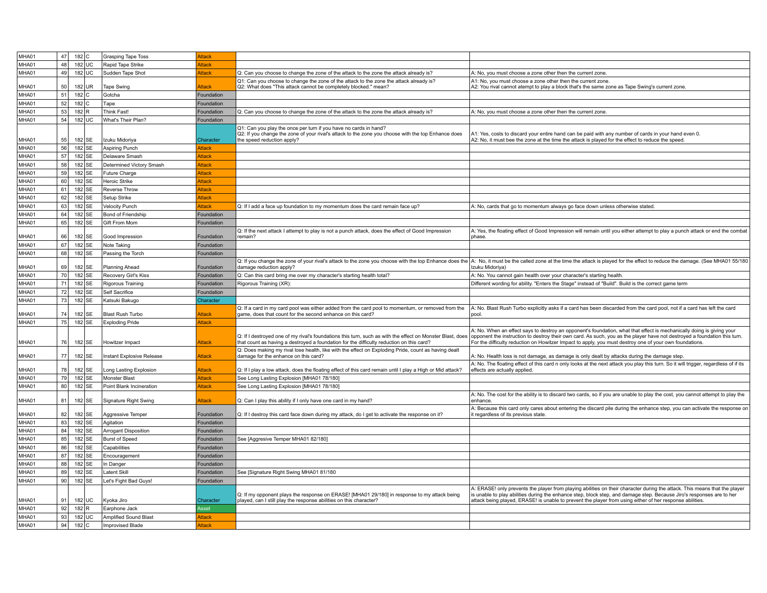| MHA01          | 47       | $182$ C         | <b>Grasping Tape Toss</b>                        | Attack           |                                                                                                                                                                                                       |                                                                                                                                                                                                                                                                                                                                                               |
|----------------|----------|-----------------|--------------------------------------------------|------------------|-------------------------------------------------------------------------------------------------------------------------------------------------------------------------------------------------------|---------------------------------------------------------------------------------------------------------------------------------------------------------------------------------------------------------------------------------------------------------------------------------------------------------------------------------------------------------------|
| MHA01          | 48       | 182 UC          | Rapid Tape Strike                                | Attack           |                                                                                                                                                                                                       |                                                                                                                                                                                                                                                                                                                                                               |
| MHA01          | 49       | 182 UC          | Sudden Tape Shot                                 | Attack           | Q: Can you choose to change the zone of the attack to the zone the attack already is?                                                                                                                 | A: No, you must choose a zone other then the current zone.                                                                                                                                                                                                                                                                                                    |
|                |          |                 |                                                  |                  | Q1: Can you choose to change the zone of the attack to the zone the attack already is?                                                                                                                | A1: No, you must choose a zone other then the current zone.                                                                                                                                                                                                                                                                                                   |
| MHA01          | 50       | 182 UR          | <b>Tape Swing</b>                                | Attack           | Q2: What does "This attack cannot be completely blocked." mean?                                                                                                                                       | A2: You rival cannot atempt to play a block that's the same zone as Tape Swing's current zone                                                                                                                                                                                                                                                                 |
| MHA01          | 51       | 182 C           | Gotcha                                           | Foundation       |                                                                                                                                                                                                       |                                                                                                                                                                                                                                                                                                                                                               |
| MHA01          | 52       | $182$ C         | Tape                                             | Foundation       |                                                                                                                                                                                                       |                                                                                                                                                                                                                                                                                                                                                               |
| MHA01          | 53       | 182 R           | Think Fast!                                      | Foundation       | Q: Can you choose to change the zone of the attack to the zone the attack already is?                                                                                                                 | A: No, you must choose a zone other then the current zone.                                                                                                                                                                                                                                                                                                    |
| MHA01          | 54       | 182 UC          | What's Their Plan?                               | Foundation       |                                                                                                                                                                                                       |                                                                                                                                                                                                                                                                                                                                                               |
| MHA01          | 55       | 182 SE          | Izuku Midoriya                                   | Character        | Q1: Can you play the once per turn if you have no cards in hand?<br>Q2: If you change the zone of your rival's attack to the zone you choose with the top Enhance does<br>the speed reduction apply?  | A1: Yes, costs to discard your entire hand can be paid with any number of cards in your hand even 0.<br>A2: No, it must bee the zone at the time the attack is played for the effect to reduce the speed.                                                                                                                                                     |
|                |          |                 |                                                  |                  |                                                                                                                                                                                                       |                                                                                                                                                                                                                                                                                                                                                               |
| MHA01          | 56       | 182 SE          | <b>Aspiring Punch</b>                            | Attack           |                                                                                                                                                                                                       |                                                                                                                                                                                                                                                                                                                                                               |
| MHA01          | 57       | 182 SE          | Delaware Smash                                   | Attack           |                                                                                                                                                                                                       |                                                                                                                                                                                                                                                                                                                                                               |
| MHA01          | 58       | 182 SE          | Determined Victory Smash                         | <b>Attack</b>    |                                                                                                                                                                                                       |                                                                                                                                                                                                                                                                                                                                                               |
| MHA01          | 59       | 182 SE          | Future Charge                                    | Attack           |                                                                                                                                                                                                       |                                                                                                                                                                                                                                                                                                                                                               |
| MHA01          | 60       | 182 SE          | Heroic Strike                                    | Attack           |                                                                                                                                                                                                       |                                                                                                                                                                                                                                                                                                                                                               |
| MHA01          | 61       | 182 SE          | Reverse Throw                                    | Attack           |                                                                                                                                                                                                       |                                                                                                                                                                                                                                                                                                                                                               |
| MHA01          | 62       | 182 SE          | Setup Strike                                     | Attack           |                                                                                                                                                                                                       |                                                                                                                                                                                                                                                                                                                                                               |
| MHA01          | 63       | 182 SE          | Velocity Punch                                   | Attack           | Q: If I add a face up foundation to my momentum does the card remain face up?                                                                                                                         | A: No, cards that go to momentum always go face down unless otherwise stated                                                                                                                                                                                                                                                                                  |
| MHA01          | 64       | 182 SE          | Bond of Friendship                               | Foundation       |                                                                                                                                                                                                       |                                                                                                                                                                                                                                                                                                                                                               |
|                | 65       |                 |                                                  |                  |                                                                                                                                                                                                       |                                                                                                                                                                                                                                                                                                                                                               |
| MHA01          |          | 182 SE          | Gift From Mom                                    | Foundation       |                                                                                                                                                                                                       |                                                                                                                                                                                                                                                                                                                                                               |
| MHA01          | 66       | 182 SE          | Good Impression                                  | Foundation       | Q: If the next attack I attempt to play is not a punch attack, does the effect of Good Impression<br>remain?                                                                                          | A: Yes, the floating effect of Good Impression will remain until you either attempt to play a punch attack or end the combat<br>phase.                                                                                                                                                                                                                        |
| MHA01          | 67       | 182 SE          | Note Taking                                      | Foundation       |                                                                                                                                                                                                       |                                                                                                                                                                                                                                                                                                                                                               |
|                |          |                 |                                                  |                  |                                                                                                                                                                                                       |                                                                                                                                                                                                                                                                                                                                                               |
| MHA01          | 68       | 182 SE          | Passing the Torch                                | Foundation       |                                                                                                                                                                                                       |                                                                                                                                                                                                                                                                                                                                                               |
| MHA01          | 69       | 182 SE          | <b>Planning Ahead</b>                            | Foundation       | Q: If you change the zone of your rival's attack to the zone you choose with the top Enhance does the<br>damage reduction apply?                                                                      | A: No, it must be the called zone at the time the attack is played for the effect to reduce the damage. (See MHA01 55/180<br>Izuku Midoriva)                                                                                                                                                                                                                  |
| MHA01          | 70       | 182 SE          | Recovery Girl's Kiss                             | Foundation       | Q: Can this card bring me over my character's starting health total?                                                                                                                                  | A: No. You cannot gain health over your character's starting health                                                                                                                                                                                                                                                                                           |
| MHA01          | 71       | 182 SE          | Rigorous Training                                | Foundation       | Rigorous Training (XR)                                                                                                                                                                                | Different wording for ability. "Enters the Stage" instead of "Build". Build is the correct game term                                                                                                                                                                                                                                                          |
| MHA01          | 72       | 182 SE          | Self Sacrifice                                   | Foundation       |                                                                                                                                                                                                       |                                                                                                                                                                                                                                                                                                                                                               |
| MHA01          | 73       | 182 SE          | Katsuki Bakugo                                   | Character        |                                                                                                                                                                                                       |                                                                                                                                                                                                                                                                                                                                                               |
| MHA01          | 74       | 182 SE          | <b>Blast Rush Turbo</b>                          | Attack           | Q: If a card in my card pool was either added from the card pool to momentum, or removed from the<br>game, does that count for the second enhance on this card?                                       | A: No. Blast Rush Turbo explicitly asks if a card has been discarded from the card pool, not if a card has left the card<br>pool.                                                                                                                                                                                                                             |
|                |          |                 | <b>Exploding Pride</b>                           | Attack           |                                                                                                                                                                                                       |                                                                                                                                                                                                                                                                                                                                                               |
|                |          |                 |                                                  |                  |                                                                                                                                                                                                       |                                                                                                                                                                                                                                                                                                                                                               |
| MHA01          | 75       | 182 SE          |                                                  |                  |                                                                                                                                                                                                       |                                                                                                                                                                                                                                                                                                                                                               |
| MHA01          | 76       | 182 SE          | Howitzer Impact                                  | Attack           | Q: If I destroyed one of my rival's foundations this turn, such as with the effect on Monster Blast, does<br>that count as having a destroyed a foundation for the difficulty reduction on this card? | A: No. When an effect says to destroy an opponent's foundation, what that effect is mechanically doing is giving your<br>opponent the instruction to destroy their own card. As such, you as the player have not destroyed a foundation this turn.<br>For the difficulty reduction on Howitzer Impact to apply, you must destroy one of your own foundations. |
|                |          |                 |                                                  |                  | Q: Does making my rival lose health, like with the effect on Exploding Pride, count as having dealt                                                                                                   |                                                                                                                                                                                                                                                                                                                                                               |
| MHA01          | 77       | 182 SE          | Instant Explosive Release                        | Attack           | damage for the enhance on this card?                                                                                                                                                                  | A: No. Health loss is not damage, as damage is only dealt by attacks during the damage step.                                                                                                                                                                                                                                                                  |
| MHA01          | 78       | 182 SE          | Long Lasting Explosion                           | Attack           | Q: If I play a low attack, does the floating effect of this card remain until I play a High or Mid attack?                                                                                            | A: No. The floating effect of this card n only looks at the next attack you play this turn. So it will trigger, regardless of if its<br>effects are actually applied.                                                                                                                                                                                         |
| MHA01          | 79       | 182 SE          | Monster Blast                                    | Attack           | See Long Lasting Explosion [MHA01 78/180]                                                                                                                                                             |                                                                                                                                                                                                                                                                                                                                                               |
| MHA01          | 80       | 182 SE          | Point Blank Incineration                         | Attack           | See Long Lasting Explosion [MHA01 78/180]                                                                                                                                                             |                                                                                                                                                                                                                                                                                                                                                               |
| MHA01          | 81       | 182 SE          | Signature Right Swing                            | Attack           | Q: Can I play this ability if I only have one card in my hand?                                                                                                                                        | A: No. The cost for the ability is to discard two cards, so if you are unable to play the cost, you cannot attempt to play the<br>enhance                                                                                                                                                                                                                     |
|                |          |                 |                                                  |                  |                                                                                                                                                                                                       | A: Because this card only cares about entering the discard pile during the enhance step, you can activate the response on                                                                                                                                                                                                                                     |
| MHA01          | 82       | 182 SE          | Aggressive Temper                                | Foundation       | Q: If I destroy this card face down during my attack, do I get to activate the response on it?                                                                                                        | it regardless of its previous state.                                                                                                                                                                                                                                                                                                                          |
| MHA01          | 83       | 182 SE          | Agitation                                        | Foundation       |                                                                                                                                                                                                       |                                                                                                                                                                                                                                                                                                                                                               |
| MHA01          | 84       | 182 SE          | <b>Arrogant Disposition</b>                      | Foundation       |                                                                                                                                                                                                       |                                                                                                                                                                                                                                                                                                                                                               |
| MHA01          | 85       |                 |                                                  | Foundation       |                                                                                                                                                                                                       |                                                                                                                                                                                                                                                                                                                                                               |
| MHA01          |          | 182 SE          | <b>Burst of Speed</b>                            |                  | See [Aggresive Temper MHA01 82/180]                                                                                                                                                                   |                                                                                                                                                                                                                                                                                                                                                               |
|                | 86       | 182 SE          | Capabilities                                     | Foundation       |                                                                                                                                                                                                       |                                                                                                                                                                                                                                                                                                                                                               |
| MHA01          | 87       | 182 SE          | Encouragement                                    | Foundation       |                                                                                                                                                                                                       |                                                                                                                                                                                                                                                                                                                                                               |
| MHA01          | 88       | 182 SE          | In Danger                                        | Foundation       |                                                                                                                                                                                                       |                                                                                                                                                                                                                                                                                                                                                               |
| MHA01          | 89       | 182 SE          | Latent Skill                                     | Foundation       | See [Signature Right Swing MHA01 81/180                                                                                                                                                               |                                                                                                                                                                                                                                                                                                                                                               |
| MHA01          | 90       | 182 SE          | Let's Fight Bad Guys!                            | Foundation       |                                                                                                                                                                                                       |                                                                                                                                                                                                                                                                                                                                                               |
|                |          |                 |                                                  |                  | Q: If my opponent plays the response on ERASE! [MHA01 29/180] in response to my attack being                                                                                                          | A: ERASE! only prevents the player from playing abilities on their character during the attack. This means that the player<br>is unable to play abilities during the enhance step, block step, and damage step. Because Jiro's responses are to her                                                                                                           |
| MHA01          | 91       | 182 UC          | Kyoka Jiro                                       | Character        | played, can I still play the response abilities on this character?                                                                                                                                    | attack being played, ERASE! is unable to prevent the player from using either of her response abilities                                                                                                                                                                                                                                                       |
| MHA01          | 92       | 182 R           | Earphone Jack                                    | <b>Asset</b>     |                                                                                                                                                                                                       |                                                                                                                                                                                                                                                                                                                                                               |
| MHA01<br>MHA01 | 93<br>94 | 182 UC<br>182 C | Amplified Sound Blast<br><b>Improvised Blade</b> | Attack<br>Attack |                                                                                                                                                                                                       |                                                                                                                                                                                                                                                                                                                                                               |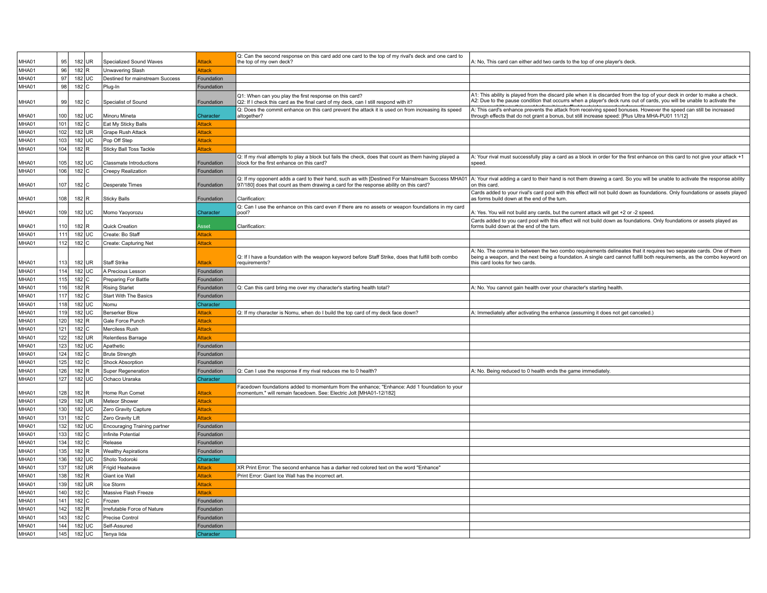| MHA01 | 95               |                    | 182 UR | Specialized Sound Waves         | <b>Attack</b> | Q: Can the second response on this card add one card to the top of my rival's deck and one card to<br>the top of my own deck?                                                             | A: No, This card can either add two cards to the top of one player's deck                                                                                                                                                                                                        |
|-------|------------------|--------------------|--------|---------------------------------|---------------|-------------------------------------------------------------------------------------------------------------------------------------------------------------------------------------------|----------------------------------------------------------------------------------------------------------------------------------------------------------------------------------------------------------------------------------------------------------------------------------|
| MHA01 | 96               | $182$ R            |        | <b>Unwavering Slash</b>         | Attack        |                                                                                                                                                                                           |                                                                                                                                                                                                                                                                                  |
| MHA01 | 97 <sup>1</sup>  |                    | 182 UC | Destined for mainstream Success | Foundation    |                                                                                                                                                                                           |                                                                                                                                                                                                                                                                                  |
| MHA01 | 98               | 182 C              |        | Plug-In                         | Foundation    |                                                                                                                                                                                           |                                                                                                                                                                                                                                                                                  |
| MHA01 | 99               | 182 C              |        | Specialist of Sound             | Foundation    | Q1: When can you play the first response on this card?<br>Q2: If I check this card as the final card of my deck, can I still respond with it?                                             | A1: This ability is played from the discard pile when it is discarded from the top of your deck in order to make a check.<br>A2: Due to the pause condition that occurrs when a player's deck runs out of cards, you will be unable to activate the                              |
| MHA01 | 100 <sub>1</sub> |                    | 182 UC | Minoru Mineta                   | Character     | Q: Does the commit enhance on this card prevent the attack it is used on from increasing its speed<br>altogether?                                                                         | A: This card's enhance prevents the attack from receiving speed bonuses. However the speed can still be increased<br>through effects that do not grant a bonus, but still increase speed: [Plus Ultra MHA-PU01 11/12]                                                            |
| MHA01 | 101              | 182 C              |        | Eat My Sticky Balls             | Attack        |                                                                                                                                                                                           |                                                                                                                                                                                                                                                                                  |
| MHA01 | 102              |                    | 182 UR | <b>Grape Rush Attack</b>        | Attack        |                                                                                                                                                                                           |                                                                                                                                                                                                                                                                                  |
| MHA01 | 103              |                    | 182 UC | Pop Off Step                    | <b>Attack</b> |                                                                                                                                                                                           |                                                                                                                                                                                                                                                                                  |
| MHA01 | 104              | 182 R              |        | <b>Sticky Ball Toss Tackle</b>  | <b>Attack</b> |                                                                                                                                                                                           |                                                                                                                                                                                                                                                                                  |
| MHA01 | 105              |                    | 182 UC | Classmate Introductions         | Foundation    | Q: If my rival attempts to play a block but fails the check, does that count as them having played a<br>block for the first enhance on this card?                                         | A: Your rival must successfully play a card as a block in order for the first enhance on this card to not give your attack +1<br>speed.                                                                                                                                          |
| MHA01 | 106              | $182$ C            |        | <b>Creepy Realization</b>       | Foundation    |                                                                                                                                                                                           |                                                                                                                                                                                                                                                                                  |
| MHA01 | 107              | 182 C              |        | <b>Desperate Times</b>          | Foundatior    | Q: If my opponent adds a card to their hand, such as with [Destined For Mainstream Success MHA01<br>97/180] does that count as them drawing a card for the response ability on this card? | A: Your rival adding a card to their hand is not them drawing a card. So you will be unable to activate the response ability<br>on this card.                                                                                                                                    |
|       |                  |                    |        |                                 |               |                                                                                                                                                                                           | Cards added to your rival's card pool with this effect will not build down as foundations. Only foundations or assets played                                                                                                                                                     |
| MHA01 | 108              | $182$ R            |        | <b>Sticky Balls</b>             | Foundation    | Clarification                                                                                                                                                                             | as forms build down at the end of the turn.                                                                                                                                                                                                                                      |
| MHA01 | 109              |                    | 182 UC | Momo Yaoyorozu                  | Character     | Q: Can I use the enhance on this card even if there are no assets or weapon foundations in my card<br>pool?                                                                               | A: Yes. You wiil not build any cards, but the current attack will get +2 or -2 speed                                                                                                                                                                                             |
| MHA01 | 110              | 182 R              |        | Quick Creation                  | <b>sset</b>   | Clarification                                                                                                                                                                             | Cards added to you card pool with this effect will not build down as foundations. Only foundations or assets played as<br>forms build down at the end of the turn.                                                                                                               |
| MHA01 | 111              |                    | 182 UC | Create: Bo Staff                | Attack        |                                                                                                                                                                                           |                                                                                                                                                                                                                                                                                  |
| MHA01 | 112              | $182$ C            |        | Create: Capturing Net           | <b>Attack</b> |                                                                                                                                                                                           |                                                                                                                                                                                                                                                                                  |
| MHA01 | 113              |                    | 182 UR | <b>Staff Strike</b>             | <b>Attack</b> | Q: If I have a foundation with the weapon keyword before Staff Strike, does that fulfill both combo<br>requirements?                                                                      | A: No. The comma in between the two combo requirements delineates that it requires two separate cards. One of them<br>being a weapon, and the next being a foundation. A single card cannot fulfill both requirements, as the combo keyword on<br>this card looks for two cards. |
| MHA01 | $114$            |                    | 182 UC | A Precious Lesson               | Foundation    |                                                                                                                                                                                           |                                                                                                                                                                                                                                                                                  |
| MHA01 | 115              | $182$ C            |        | Preparing For Battle            | Foundation    |                                                                                                                                                                                           |                                                                                                                                                                                                                                                                                  |
| MHA01 | 116              | 182 R              |        | <b>Rising Starlet</b>           | Foundation    | Q: Can this card bring me over my character's starting health total?                                                                                                                      | A: No. You cannot gain health over your character's starting health                                                                                                                                                                                                              |
| MHA01 | 117              | 182 C              |        | <b>Start With The Basics</b>    | Foundation    |                                                                                                                                                                                           |                                                                                                                                                                                                                                                                                  |
| MHA01 | 118              |                    | 182 UC | Nomu                            | Character     |                                                                                                                                                                                           |                                                                                                                                                                                                                                                                                  |
| MHA01 | 119              |                    | 182 UC | <b>Berserker Blow</b>           | Attack        | Q: If my character is Nomu, when do I build the top card of my deck face down?                                                                                                            | A: Immediately after activating the enhance (assuming it does not get canceled.)                                                                                                                                                                                                 |
| MHA01 | 120              | 182 R              |        | Gale Force Punch                | Attack        |                                                                                                                                                                                           |                                                                                                                                                                                                                                                                                  |
| MHA01 | 121              | $182$ C            |        | Merciless Rush                  | Attack        |                                                                                                                                                                                           |                                                                                                                                                                                                                                                                                  |
| MHA01 | 122              |                    | 182 UR | Relentless Barrage              | <b>Attack</b> |                                                                                                                                                                                           |                                                                                                                                                                                                                                                                                  |
| MHA01 | 123              |                    | 182 UC | Apathetic                       | Foundation    |                                                                                                                                                                                           |                                                                                                                                                                                                                                                                                  |
| MHA01 | 124              | $182$ C            |        | <b>Brute Strength</b>           | Foundation    |                                                                                                                                                                                           |                                                                                                                                                                                                                                                                                  |
| MHA01 | 125              | 182 C              |        | Shock Absorption                | Foundation    |                                                                                                                                                                                           |                                                                                                                                                                                                                                                                                  |
| MHA01 | 126              | $182$ R            |        | Super Regeneration              | Foundation    | Q: Can I use the response if my rival reduces me to 0 health?                                                                                                                             | A: No. Being reduced to 0 health ends the game immediately.                                                                                                                                                                                                                      |
| MHA01 | 127              |                    | 182 UC | Ochaco Uraraka                  | Character     |                                                                                                                                                                                           |                                                                                                                                                                                                                                                                                  |
| MHA01 | 128              | $182$ <sub>R</sub> |        | Home Run Comet                  | <b>Attack</b> | Facedown foundations added to momentum from the enhance; "Enhance: Add 1 foundation to your<br>momentum." will remain facedown. See: Electric Jolt [MHA01-12/182]                         |                                                                                                                                                                                                                                                                                  |
| MHA01 | 129              |                    | 182 UR | Meteor Shower                   | Attack        |                                                                                                                                                                                           |                                                                                                                                                                                                                                                                                  |
| MHA01 | 130              |                    | 182 UC | Zero Gravity Capture            | <b>Attack</b> |                                                                                                                                                                                           |                                                                                                                                                                                                                                                                                  |
| MHA01 | 131              | $182$ C            |        | Zero Gravity Lift               | Attack        |                                                                                                                                                                                           |                                                                                                                                                                                                                                                                                  |
| MHA01 | 132              |                    | 182 UC | Encouraging Training partner    | Foundation    |                                                                                                                                                                                           |                                                                                                                                                                                                                                                                                  |
| MHA01 | 133              | $182$ C            |        | Infinite Potential              | Foundation    |                                                                                                                                                                                           |                                                                                                                                                                                                                                                                                  |
| MHA01 | 134              | 182 C              |        | Release                         | Foundation    |                                                                                                                                                                                           |                                                                                                                                                                                                                                                                                  |
| MHA01 | 135              | $182$ R            |        | <b>Wealthy Aspirations</b>      | Foundation    |                                                                                                                                                                                           |                                                                                                                                                                                                                                                                                  |
| MHA01 | 136              |                    | 182 UC | Shoto Todoroki                  | Character     |                                                                                                                                                                                           |                                                                                                                                                                                                                                                                                  |
| MHA01 | 137              |                    | 182 UR | Frigid Heatwave                 | Attack        | XR Print Error: The second enhance has a darker red colored text on the word "Enhance"                                                                                                    |                                                                                                                                                                                                                                                                                  |
| MHA01 | 138              | 182 R              |        | Giant ice Wall                  | Attack        | Print Error: Giant Ice Wall has the incorrect art.                                                                                                                                        |                                                                                                                                                                                                                                                                                  |
| MHA01 | 139              |                    | 182 UR | Ice Storm                       | <b>Attack</b> |                                                                                                                                                                                           |                                                                                                                                                                                                                                                                                  |
| MHA01 | 140              | $182$ C            |        | Massive Flash Freeze            | Attack        |                                                                                                                                                                                           |                                                                                                                                                                                                                                                                                  |
| MHA01 | 141              | 182 C              |        | Frozen                          | Foundation    |                                                                                                                                                                                           |                                                                                                                                                                                                                                                                                  |
| MHA01 | 142              | $182$ <sub>R</sub> |        | Irrefutable Force of Nature     | Foundation    |                                                                                                                                                                                           |                                                                                                                                                                                                                                                                                  |
| MHA01 | 143              | 182 C              |        | <b>Precise Control</b>          | Foundation    |                                                                                                                                                                                           |                                                                                                                                                                                                                                                                                  |
| MHA01 | 144              |                    | 182 UC | Self-Assured                    | Foundation    |                                                                                                                                                                                           |                                                                                                                                                                                                                                                                                  |
| MHA01 | 145              |                    | 182 UC | Tenya lida                      | Character     |                                                                                                                                                                                           |                                                                                                                                                                                                                                                                                  |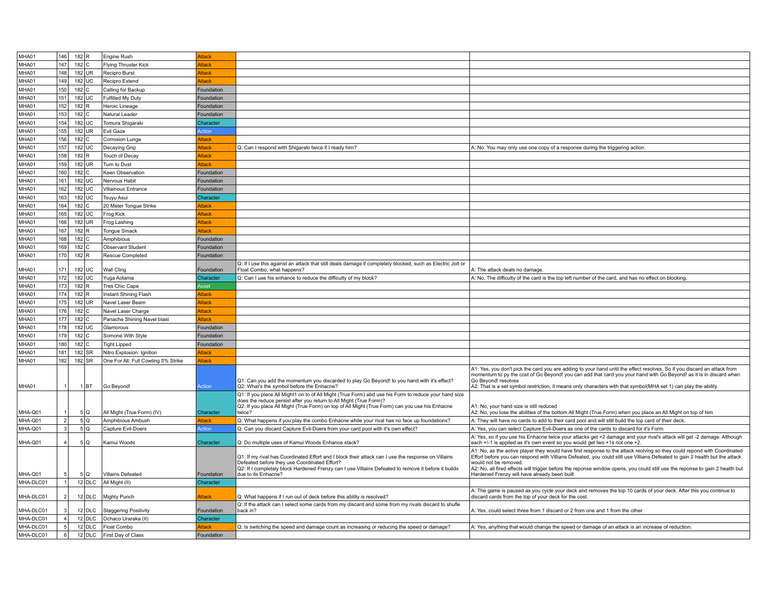| MHA01     | 146            | 182 R              |          | Engine Rush                         | <b>Attack</b> |                                                                                                                                                                                                                                                                              |                                                                                                                                                                                                                                                                                      |
|-----------|----------------|--------------------|----------|-------------------------------------|---------------|------------------------------------------------------------------------------------------------------------------------------------------------------------------------------------------------------------------------------------------------------------------------------|--------------------------------------------------------------------------------------------------------------------------------------------------------------------------------------------------------------------------------------------------------------------------------------|
| MHA01     | 147            | 182 C              |          | Flying Thruster Kick                | <b>Attack</b> |                                                                                                                                                                                                                                                                              |                                                                                                                                                                                                                                                                                      |
| MHA01     | 148            | 182 UR             |          | Recipro Burst                       | Attack        |                                                                                                                                                                                                                                                                              |                                                                                                                                                                                                                                                                                      |
| MHA01     | 149            | 182 UC             |          | Recipro Extend                      | Attack        |                                                                                                                                                                                                                                                                              |                                                                                                                                                                                                                                                                                      |
| MHA01     | 150            | 182 C              |          | Calling for Backup                  | Foundation    |                                                                                                                                                                                                                                                                              |                                                                                                                                                                                                                                                                                      |
| MHA01     | 151            | 182 UC             |          | Fulfilled My Duty                   | Foundation    |                                                                                                                                                                                                                                                                              |                                                                                                                                                                                                                                                                                      |
| MHA01     | 152            | 182 R              |          | Heroic Lineage                      | Foundation    |                                                                                                                                                                                                                                                                              |                                                                                                                                                                                                                                                                                      |
| MHA01     | 153            | $182$ C            |          | Natural Leader                      | Foundation    |                                                                                                                                                                                                                                                                              |                                                                                                                                                                                                                                                                                      |
| MHA01     | 154            | 182 UC             |          | Tomura Shigaraki                    | Character     |                                                                                                                                                                                                                                                                              |                                                                                                                                                                                                                                                                                      |
| MHA01     | 155            | 182 UR             |          | Evil Gaze                           | Action        |                                                                                                                                                                                                                                                                              |                                                                                                                                                                                                                                                                                      |
| MHA01     | 156            |                    |          |                                     |               |                                                                                                                                                                                                                                                                              |                                                                                                                                                                                                                                                                                      |
|           |                | 182 C              |          | <b>Corrosion Lunge</b>              | Attack        |                                                                                                                                                                                                                                                                              |                                                                                                                                                                                                                                                                                      |
| MHA01     | 157            | 182 UC             |          | Decaying Grip                       | <b>Attack</b> | Q: Can I respond with Shigaraki twice if I ready him?                                                                                                                                                                                                                        | A: No. You may only use one copy of a response during the triggering action.                                                                                                                                                                                                         |
| MHA01     | 158            | 182 R              |          | Touch of Decay                      | Attack        |                                                                                                                                                                                                                                                                              |                                                                                                                                                                                                                                                                                      |
| MHA01     | 159            | 182 UR             |          | Turn to Dust                        | Attack        |                                                                                                                                                                                                                                                                              |                                                                                                                                                                                                                                                                                      |
| MHA01     | 160            | 182 C              |          | Keen Observation                    | Foundation    |                                                                                                                                                                                                                                                                              |                                                                                                                                                                                                                                                                                      |
| MHA01     | 161            | 182 UC             |          | Nervous Habit                       | Foundation    |                                                                                                                                                                                                                                                                              |                                                                                                                                                                                                                                                                                      |
| MHA01     | 162            | 182 UC             |          | Villainous Entrance                 | Foundation    |                                                                                                                                                                                                                                                                              |                                                                                                                                                                                                                                                                                      |
| MHA01     | 163            | 182 UC             |          | Tsuyu Asui                          | Character     |                                                                                                                                                                                                                                                                              |                                                                                                                                                                                                                                                                                      |
| MHA01     | 164            | $182$ C            |          | 20 Meter Tongue Strike              | <b>Attack</b> |                                                                                                                                                                                                                                                                              |                                                                                                                                                                                                                                                                                      |
| MHA01     | 165            | 182 UC             |          | Frog Kick                           | Attack        |                                                                                                                                                                                                                                                                              |                                                                                                                                                                                                                                                                                      |
| MHA01     | 166            | 182 UR             |          | Frog Lashing                        | <b>kttack</b> |                                                                                                                                                                                                                                                                              |                                                                                                                                                                                                                                                                                      |
| MHA01     | 167            | 182 R              |          | <b>Tongue Smack</b>                 | Attack        |                                                                                                                                                                                                                                                                              |                                                                                                                                                                                                                                                                                      |
| MHA01     | 168            | $182$ C            |          | Amphibious                          | Foundation    |                                                                                                                                                                                                                                                                              |                                                                                                                                                                                                                                                                                      |
| MHA01     | 169            | 182 C              |          | Observant Student                   | Foundation    |                                                                                                                                                                                                                                                                              |                                                                                                                                                                                                                                                                                      |
| MHA01     | 170            | $182$ <sub>R</sub> |          | Rescue Completed                    | Foundation    |                                                                                                                                                                                                                                                                              |                                                                                                                                                                                                                                                                                      |
|           |                |                    |          |                                     |               | Q: If I use this against an attack that still deals damage if completely blocked, such as Electric Jolt or                                                                                                                                                                   |                                                                                                                                                                                                                                                                                      |
| MHA01     | 171            | 182 UC             |          | Wall Cling                          | Foundation    | Float Combo, what happens?                                                                                                                                                                                                                                                   | A: The attack deals no damage                                                                                                                                                                                                                                                        |
| MHA01     | 172            | 182 UC             |          | Yuga Aotama                         | Character     | Q: Can I use his enhance to reduce the difficulty of my block?                                                                                                                                                                                                               | A: No. The difficulty of the card is the top left number of the card, and has no effect on blocking                                                                                                                                                                                  |
| MHA01     | 173            | $182$ R            |          | Tres Chic Cape                      | Asset         |                                                                                                                                                                                                                                                                              |                                                                                                                                                                                                                                                                                      |
| MHA01     | 174            | 182 R              |          | Instant Shining Flash               | <b>Attack</b> |                                                                                                                                                                                                                                                                              |                                                                                                                                                                                                                                                                                      |
| MHA01     | 175            | 182 UR             |          | Navel Laser Beam                    | Attack        |                                                                                                                                                                                                                                                                              |                                                                                                                                                                                                                                                                                      |
| MHA01     | 176            | $182$ C            |          | Navel Laser Charge                  | <b>Attack</b> |                                                                                                                                                                                                                                                                              |                                                                                                                                                                                                                                                                                      |
| MHA01     | 177            | 182 C              |          | Panache Shining Navel blast         | Attack        |                                                                                                                                                                                                                                                                              |                                                                                                                                                                                                                                                                                      |
| MHA01     | 178            | 182 UC             |          | Glamorous                           | Foundation    |                                                                                                                                                                                                                                                                              |                                                                                                                                                                                                                                                                                      |
| MHA01     | 179            | 182 C              |          | Somone With Style                   | Foundation    |                                                                                                                                                                                                                                                                              |                                                                                                                                                                                                                                                                                      |
| MHA01     | 180            | $182$ C            |          | <b>Tight Lipped</b>                 | Foundation    |                                                                                                                                                                                                                                                                              |                                                                                                                                                                                                                                                                                      |
| MHA01     | 181            | 182 SR             |          | Nitro Explosion: Ignition           | <b>Attack</b> |                                                                                                                                                                                                                                                                              |                                                                                                                                                                                                                                                                                      |
| MHA01     | 182            | 182 SR             |          | One For All: Full Cowling 5% Strike | ttack         |                                                                                                                                                                                                                                                                              |                                                                                                                                                                                                                                                                                      |
|           |                |                    |          |                                     |               |                                                                                                                                                                                                                                                                              | A1: Yes, you don't pick the card you are adding to your hand until the effect resolves. So if you discard an attack from                                                                                                                                                             |
| MHA01     |                |                    | 1 BT     | Go Beyond!                          | kction        | Q1: Can you add the momentum you discarded to play Go Beyond! to you hand with it's effect?<br>Q2: What's the symbol before the Enhacne?                                                                                                                                     | momentum to py the cost of Go Beyond! you can add that card you your hand with Go Beyond! as it is in discard when<br>Go Beyond! resolves<br>A2: That is a set symbol restriction, it means only characters with that symbol(MHA set 1) can play the ability                         |
|           |                |                    |          |                                     |               | Q1: If you place All Might1 on to of All Might (True Form) abd use his Form to reduce your hand size<br>does the reduce persist after you return to All Might (True Form)?<br>Q2: If you place All Might (True Form) on top of All Might (True Form) can you use his Enhacne | A1: No, your hand size is still reduced                                                                                                                                                                                                                                              |
| MHA-Q01   |                |                    | 5Q       | All Might (True Form) (IV)          | Character     | twice?                                                                                                                                                                                                                                                                       | A2: No, you lose the abilities of the bottom All Might (True Form) when you place an All Might on top of him                                                                                                                                                                         |
| MHA-Q01   | 2              |                    | 5Q       | Amphibious Ambush                   | <b>Attack</b> | Q: What happens if you play the combo Enhacne while your rival has no face up foundations?                                                                                                                                                                                   | A: They will have no cards to add to their card pool and will still build the top card of their deck.                                                                                                                                                                                |
| MHA-Q01   |                |                    | 5Q       | Capture Evil-Doers                  | <b>Action</b> | Q: Can you discard Capture Evil-Doers from your card pool with it's own effect?                                                                                                                                                                                              | A: Yes, you can select Capture Evil-Doers as one of the cards to discard for it's Form                                                                                                                                                                                               |
| MHA-Q01   | 4              |                    | 5Q       | Kamui Woods                         | Character     | Q: Do multiple uses of Kamui Woods Enhance stack?                                                                                                                                                                                                                            | A: Yes, so if you use his Enhacne twice your attacks get +2 damage and your rival's attack will get -2 damage. Although<br>each +/-1 is appiled as it's own event so you would get two +1s not one +2.                                                                               |
|           |                |                    |          |                                     |               |                                                                                                                                                                                                                                                                              | A1: No, as the active player they would have first response to the attack reolving so they could repond with Coordinated                                                                                                                                                             |
|           |                |                    |          |                                     |               | Q1: If my rival has Coordinated Effort and I block their attack can I use the response on Villains<br>Defeated before they use Coordinated Effort?<br>Q2: If I completely block Hardened Frenzy can I use Villains Defeated to remove it before it builds                    | Effort before you can respond with Villians Defeated, you could still use Villians Defeated to gain 2 health but the attack<br>would not be removed.<br>A2: No, all fired effects will trigger before the reponse window opens, you could still use the reponse to gain 2 health but |
| MHA-Q01   |                |                    | 5Q       | <b>Villains Defeated</b>            | Foundation    | due to its Enhacne?                                                                                                                                                                                                                                                          | Hardened Frenzy will have already been built                                                                                                                                                                                                                                         |
| MHA-DLC01 | $\mathbf{1}$   |                    | 12 DLC   | All Might (II)                      | Character     |                                                                                                                                                                                                                                                                              |                                                                                                                                                                                                                                                                                      |
| MHA-DLC01 | $\overline{2}$ |                    | 12 DLC   | Mighty Punch                        | <b>Attack</b> | Q: What happens if I run out of deck before this ability is resolved?<br>Q: If the attack can I select some cards from my discard and some from my rivals discard to shufle                                                                                                  | A: The game is paused as you cycle your deck and removes the top 10 cards of your deck. After this you continue to<br>discard cards from the top of your deck for the cost                                                                                                           |
| MHA-DLC01 |                |                    | $12$ DLC | <b>Staggering Positivity</b>        | Foundation    | back in?                                                                                                                                                                                                                                                                     | A: Yes, could select three from 1 discard or 2 from one and 1 from the other                                                                                                                                                                                                         |
| MHA-DLC01 | $\overline{4}$ |                    | 12 DLC   | Ochaco Uraraka (II)                 | Character     |                                                                                                                                                                                                                                                                              |                                                                                                                                                                                                                                                                                      |
| MHA-DLC01 | 5              |                    | 12 DLC   | Float Combo                         | Attack        | Q: Is switching the speed and damage count as increasing or reducing the speed or damage?                                                                                                                                                                                    | A: Yes, anything that would change the speed or damage of an attack is an increase of reduction.                                                                                                                                                                                     |
| MHA-DLC01 | 6              |                    | 12 DLC   | First Day of Class                  | Foundation    |                                                                                                                                                                                                                                                                              |                                                                                                                                                                                                                                                                                      |
|           |                |                    |          |                                     |               |                                                                                                                                                                                                                                                                              |                                                                                                                                                                                                                                                                                      |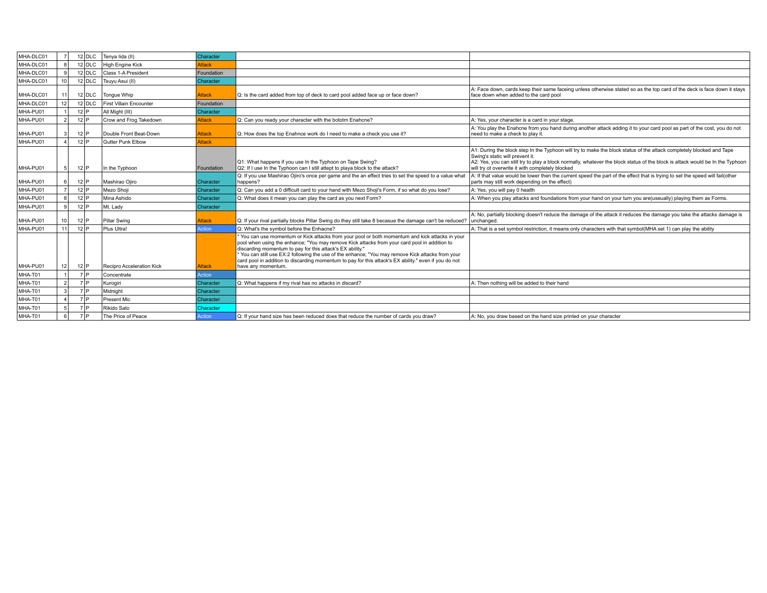| MHA-DLC01 |                 | $12$ DLC | Tenva lida (II)           | Character     |                                                                                                                                                                                                                                                                                                                                                                                                                                                                                              |                                                                                                                                                                                                                                                                                                                                              |
|-----------|-----------------|----------|---------------------------|---------------|----------------------------------------------------------------------------------------------------------------------------------------------------------------------------------------------------------------------------------------------------------------------------------------------------------------------------------------------------------------------------------------------------------------------------------------------------------------------------------------------|----------------------------------------------------------------------------------------------------------------------------------------------------------------------------------------------------------------------------------------------------------------------------------------------------------------------------------------------|
| MHA-DLC01 |                 | $12$ DLC | <b>High Engine Kick</b>   | Attack        |                                                                                                                                                                                                                                                                                                                                                                                                                                                                                              |                                                                                                                                                                                                                                                                                                                                              |
| MHA-DLC01 |                 | $12$ DLC | Class 1-A President       | Foundation    |                                                                                                                                                                                                                                                                                                                                                                                                                                                                                              |                                                                                                                                                                                                                                                                                                                                              |
| MHA-DLC01 | 10 <sup>1</sup> | $12$ DLC | Tsuyu Asui (II)           | Character     |                                                                                                                                                                                                                                                                                                                                                                                                                                                                                              |                                                                                                                                                                                                                                                                                                                                              |
| MHA-DLC01 | 11 I            | $12$ DLC | Tonque Whip               | Attack        | Q: Is the card added from top of deck to card pool added face up or face down?                                                                                                                                                                                                                                                                                                                                                                                                               | A: Face down, cards keep their same faceing unless otherwise stated so as the top card of the deck is face down it stays<br>face down when added to the card pool                                                                                                                                                                            |
| MHA-DLC01 | 12 <sup>1</sup> | $12$ DLC | First Villain Encounter   | Foundation    |                                                                                                                                                                                                                                                                                                                                                                                                                                                                                              |                                                                                                                                                                                                                                                                                                                                              |
| MHA-PU01  |                 | $12$ $P$ | All Might (III)           | Character     |                                                                                                                                                                                                                                                                                                                                                                                                                                                                                              |                                                                                                                                                                                                                                                                                                                                              |
| MHA-PU01  | 2               | $12$ $P$ | Crow and Frog Takedown    | Attack        | Q: Can you ready your character with the bototm Enahcne?                                                                                                                                                                                                                                                                                                                                                                                                                                     | A: Yes, your character is a card in your stage.                                                                                                                                                                                                                                                                                              |
| MHA-PU01  |                 | $12$ $P$ | Double Front Beat-Down    | Attack        | Q: How does the top Enahnce work do I need to make a check you use it?                                                                                                                                                                                                                                                                                                                                                                                                                       | A: You play the Enahcne from you hand during another attack adding it to your card pool as part of the cost, you do not<br>need to make a check to play it.                                                                                                                                                                                  |
| MHA-PU01  |                 | $12$ P   | Gutter Punk Elbow         | <b>Attack</b> |                                                                                                                                                                                                                                                                                                                                                                                                                                                                                              |                                                                                                                                                                                                                                                                                                                                              |
| MHA-PU01  | 5 <sup>1</sup>  | $12$ $P$ | In the Typhoon            | Foundation    | Q1: What happens if you use In the Typhoon on Tape Swing?<br>Q2: If I use In the Typhoon can I still attept to playa block to the attack?                                                                                                                                                                                                                                                                                                                                                    | A1: During the block step In the Typhoon will try to make the block status of the attack completely blocked and Tape<br>Swing's static will prevent it.<br>A2: Yes, you can still try to play a block normally, whatever the block status of the block is attack would be In the Typhoon<br>will try ot overwrite it with completely blocked |
| MHA-PU01  |                 | $12$ $P$ | Mashirao Ojiro            | Character     | Q: If you use Mashirao Ojiro's once per game and the an effect tries to set the speed to a value what<br>happens?                                                                                                                                                                                                                                                                                                                                                                            | A: If that value would be lower then the current speed the part of the effect that is trying to set the speed will fail(other<br>parts may still work depending on the effect)                                                                                                                                                               |
| MHA-PU01  |                 | $12$ $P$ | Mezo Shoji                | Character     | Q: Can you add a 0 difficult card to your hand with Mezo Shoji's Form, if so what do you lose?                                                                                                                                                                                                                                                                                                                                                                                               | A: Yes, you will pay 0 health                                                                                                                                                                                                                                                                                                                |
| MHA-PU01  | 8               | $12$ P   | Mina Ashido               | Character     | Q: What does it mean you can play the card as you next Form?                                                                                                                                                                                                                                                                                                                                                                                                                                 | A: When you play attacks and foundations from your hand on your turn you are(useually) playing them as Forms.                                                                                                                                                                                                                                |
| MHA-PU01  | 91              | $12$ P   | Mt. Lady                  | Character     |                                                                                                                                                                                                                                                                                                                                                                                                                                                                                              |                                                                                                                                                                                                                                                                                                                                              |
| MHA-PU01  | 10 I            | $12$ $P$ | Pillar Swing              | Attack        | Q: If your rival partially blocks Pillar Swing do they still take 8 becasue the damage can't be reduced?                                                                                                                                                                                                                                                                                                                                                                                     | A: No, partially blocking doesn't reduce the damage of the attack it reduces the damage you take the attacks damage is<br>unchanged.                                                                                                                                                                                                         |
| MHA-PU01  | 11              | $12$ P   | Plus Ultra!               | <b>Action</b> | Q: What's the symbol before the Enhacne?                                                                                                                                                                                                                                                                                                                                                                                                                                                     | A: That is a set symbol restriction, it means only characters with that symbol(MHA set 1) can play the ability                                                                                                                                                                                                                               |
| MHA-PU01  | 12 <sup>1</sup> | $12$ $P$ | Recipro Acceleration Kick | <b>Attack</b> | You can use momentum or Kick attacks from your pool or both momentum and kick attacks in your<br>pool when using the enhance; "You may remove Kick attacks from your card pool in addition to<br>discarding momentum to pay for this attack's EX ability."<br>You can still use EX:2 following the use of the enhance; "You may remove Kick attacks from your<br>card pool in addition to discarding momentum to pay for this attack's EX ability." even if you do not<br>have any momentum. |                                                                                                                                                                                                                                                                                                                                              |
| MHA-T01   |                 | 7P       | Concentrate               | Action        |                                                                                                                                                                                                                                                                                                                                                                                                                                                                                              |                                                                                                                                                                                                                                                                                                                                              |
| MHA-T01   |                 | 7P       | Kurogiri                  | Character     | Q: What happens if my rival has no attacks in discard?                                                                                                                                                                                                                                                                                                                                                                                                                                       | A: Then nothing will be added to their hand                                                                                                                                                                                                                                                                                                  |
| MHA-T01   |                 |          |                           |               |                                                                                                                                                                                                                                                                                                                                                                                                                                                                                              |                                                                                                                                                                                                                                                                                                                                              |
|           |                 | 7 D      | Midnight                  | Character     |                                                                                                                                                                                                                                                                                                                                                                                                                                                                                              |                                                                                                                                                                                                                                                                                                                                              |
| MHA-T01   |                 | 7 D      | <b>Present Mic</b>        | Character     |                                                                                                                                                                                                                                                                                                                                                                                                                                                                                              |                                                                                                                                                                                                                                                                                                                                              |
| MHA-T01   |                 | 7 D      | Rikido Sato               | Character     |                                                                                                                                                                                                                                                                                                                                                                                                                                                                                              |                                                                                                                                                                                                                                                                                                                                              |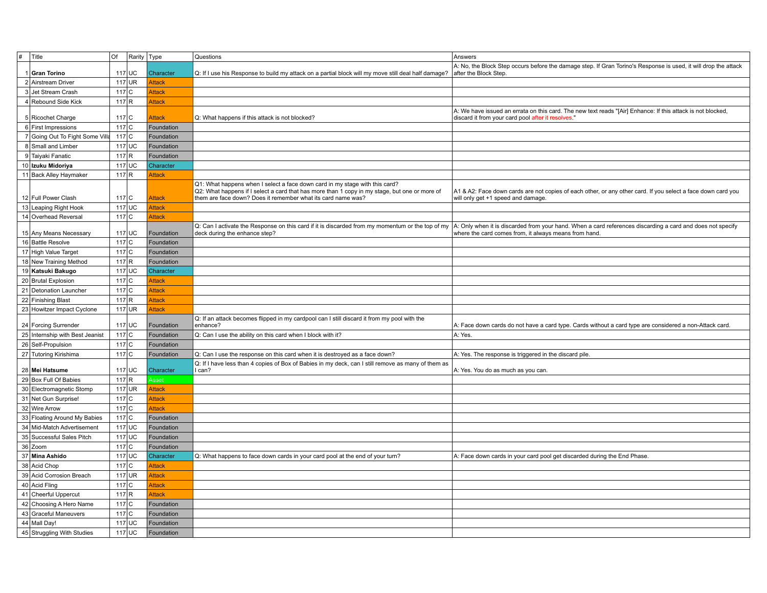| #<br>Title                      | Of      | Rarity Type |               | Questions                                                                                                                                                                                                                                    | Answers                                                                                                                                                             |
|---------------------------------|---------|-------------|---------------|----------------------------------------------------------------------------------------------------------------------------------------------------------------------------------------------------------------------------------------------|---------------------------------------------------------------------------------------------------------------------------------------------------------------------|
| 1 Gran Torino                   |         | $117$ UC    | Character     | Q: If I use his Response to build my attack on a partial block will my move still deal half damage?                                                                                                                                          | A: No, the Block Step occurs before the damage step. If Gran Torino's Response is used, it will drop the attack<br>after the Block Step.                            |
| 2 Airstream Driver              |         | $117$ UR    | <b>Attack</b> |                                                                                                                                                                                                                                              |                                                                                                                                                                     |
| 3 Jet Stream Crash              | $117$ C |             | Attack        |                                                                                                                                                                                                                                              |                                                                                                                                                                     |
| 4 Rebound Side Kick             | $117$ R |             | <b>Attack</b> |                                                                                                                                                                                                                                              |                                                                                                                                                                     |
| 5 Ricochet Charge               | $117$ C |             | Attack        | Q: What happens if this attack is not blocked?                                                                                                                                                                                               | A: We have issued an errata on this card. The new text reads "[Air] Enhance: If this attack is not blocked,<br>discard it from your card pool after it resolves."   |
| 6 First Impressions             | $117$ C |             | Foundation    |                                                                                                                                                                                                                                              |                                                                                                                                                                     |
| 7 Going Out To Fight Some Villa | $117$ C |             | Foundation    |                                                                                                                                                                                                                                              |                                                                                                                                                                     |
| 8 Small and Limber              |         | $117$ UC    | Foundation    |                                                                                                                                                                                                                                              |                                                                                                                                                                     |
| 9 Taiyaki Fanatic               | 117 R   |             | Foundation    |                                                                                                                                                                                                                                              |                                                                                                                                                                     |
| 10 Izuku Midoriya               |         | $117$ UC    | Character     |                                                                                                                                                                                                                                              |                                                                                                                                                                     |
| 11 Back Alley Haymaker          | 117 R   |             | <b>Attack</b> |                                                                                                                                                                                                                                              |                                                                                                                                                                     |
| 12 Full Power Clash             | 117C    |             | <b>Attack</b> | Q1: What happens when I select a face down card in my stage with this card?<br>Q2: What happens if I select a card that has more than 1 copy in my stage, but one or more of<br>them are face down? Does it remember what its card name was? | A1 & A2: Face down cards are not copies of each other, or any other card. If you select a face down card you<br>will only get +1 speed and damage.                  |
| 13 Leaping Right Hook           |         | $117$ UC    | Attack        |                                                                                                                                                                                                                                              |                                                                                                                                                                     |
| 14 Overhead Reversal            | $117$ C |             | Attack        |                                                                                                                                                                                                                                              |                                                                                                                                                                     |
| 15 Any Means Necessary          |         | $117$ UC    | Foundation    | Q: Can I activate the Response on this card if it is discarded from my momentum or the top of my<br>deck during the enhance step?                                                                                                            | A: Only when it is discarded from your hand. When a card references discarding a card and does not specify<br>where the card comes from, it always means from hand. |
| 16 Battle Resolve               | $117$ C |             | Foundation    |                                                                                                                                                                                                                                              |                                                                                                                                                                     |
| 17 High Value Target            | $117$ C |             | Foundation    |                                                                                                                                                                                                                                              |                                                                                                                                                                     |
| 18 New Training Method          | $117$ R |             | Foundation    |                                                                                                                                                                                                                                              |                                                                                                                                                                     |
| 19 Katsuki Bakugo               |         | $117$ UC    | Character     |                                                                                                                                                                                                                                              |                                                                                                                                                                     |
| 20 Brutal Explosion             | $117$ C |             | Attack        |                                                                                                                                                                                                                                              |                                                                                                                                                                     |
| 21 Detonation Launcher          | $117$ C |             | Attack        |                                                                                                                                                                                                                                              |                                                                                                                                                                     |
| 22 Finishing Blast              | 117 R   |             | <b>Attack</b> |                                                                                                                                                                                                                                              |                                                                                                                                                                     |
| 23 Howitzer Impact Cyclone      |         | $117$ UR    | Attack        |                                                                                                                                                                                                                                              |                                                                                                                                                                     |
| 24 Forcing Surrender            |         | $117$ UC    | Foundation    | Q: If an attack becomes flipped in my cardpool can I still discard it from my pool with the<br>enhance?                                                                                                                                      | A: Face down cards do not have a card type. Cards without a card type are considered a non-Attack card.                                                             |
| 25 Internship with Best Jeanist | $117$ C |             | Foundation    | Q: Can I use the ability on this card when I block with it?                                                                                                                                                                                  | A: Yes.                                                                                                                                                             |
| 26 Self-Propulsion              | $117$ C |             | Foundation    |                                                                                                                                                                                                                                              |                                                                                                                                                                     |
| 27 Tutoring Kirishima           | $117$ C |             | Foundation    | Q: Can I use the response on this card when it is destroyed as a face down?                                                                                                                                                                  | A: Yes. The response is triggered in the discard pile.                                                                                                              |
|                                 |         |             |               | Q: If I have less than 4 copies of Box of Babies in my deck, can I still remove as many of them as                                                                                                                                           |                                                                                                                                                                     |
| 28 Mei Hatsume                  |         | $117$ UC    | Character     | l can?                                                                                                                                                                                                                                       | A: Yes. You do as much as you can.                                                                                                                                  |
| 29 Box Full Of Babies           | 117 R   |             | Asset         |                                                                                                                                                                                                                                              |                                                                                                                                                                     |
| 30 Electromagnetic Stomp        |         | $117$ UR    | <b>Attack</b> |                                                                                                                                                                                                                                              |                                                                                                                                                                     |
| 31 Net Gun Surprise!            | $117$ C |             | <b>Attack</b> |                                                                                                                                                                                                                                              |                                                                                                                                                                     |
| 32 Wire Arrow                   | $117$ C |             | Attack        |                                                                                                                                                                                                                                              |                                                                                                                                                                     |
| 33 Floating Around My Babies    | $117$ C |             | Foundation    |                                                                                                                                                                                                                                              |                                                                                                                                                                     |
| 34 Mid-Match Advertisement      |         | $117$ UC    | Foundation    |                                                                                                                                                                                                                                              |                                                                                                                                                                     |
| 35 Successful Sales Pitch       |         | $117$ UC    | Foundation    |                                                                                                                                                                                                                                              |                                                                                                                                                                     |
| 36 Zoom                         | $117$ C |             | Foundation    |                                                                                                                                                                                                                                              |                                                                                                                                                                     |
| 37 Mina Ashido                  |         | $117$ UC    | Character     | Q: What happens to face down cards in your card pool at the end of your turn?                                                                                                                                                                | A: Face down cards in your card pool get discarded during the End Phase.                                                                                            |
| 38 Acid Chop                    | $117$ C |             | <b>Attack</b> |                                                                                                                                                                                                                                              |                                                                                                                                                                     |
| 39 Acid Corrosion Breach        |         | $117$ UR    | <b>Attack</b> |                                                                                                                                                                                                                                              |                                                                                                                                                                     |
| 40 Acid Fling                   | $117$ C |             | Attack        |                                                                                                                                                                                                                                              |                                                                                                                                                                     |
| 41 Cheerful Uppercut            | 117 R   |             | Attack        |                                                                                                                                                                                                                                              |                                                                                                                                                                     |
| 42 Choosing A Hero Name         | $117$ C |             | Foundation    |                                                                                                                                                                                                                                              |                                                                                                                                                                     |
| 43 Graceful Maneuvers           | $117$ C |             | Foundation    |                                                                                                                                                                                                                                              |                                                                                                                                                                     |
| 44 Mall Day!                    |         | $117$ UC    | Foundation    |                                                                                                                                                                                                                                              |                                                                                                                                                                     |
| 45 Struggling With Studies      |         | $117$ UC    | Foundation    |                                                                                                                                                                                                                                              |                                                                                                                                                                     |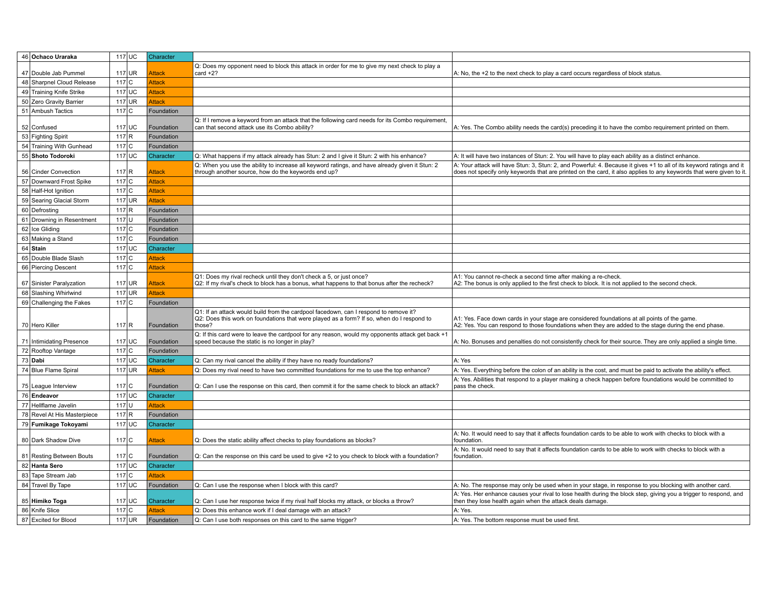| 46 Ochaco Uraraka           | $117$ UC | Character     |                                                                                                                                                                                             |                                                                                                                                                                                                                                             |
|-----------------------------|----------|---------------|---------------------------------------------------------------------------------------------------------------------------------------------------------------------------------------------|---------------------------------------------------------------------------------------------------------------------------------------------------------------------------------------------------------------------------------------------|
|                             |          |               | Q: Does my opponent need to block this attack in order for me to give my next check to play a                                                                                               |                                                                                                                                                                                                                                             |
| 47 Double Jab Pummel        | $117$ UR | <b>Attack</b> | card $+2?$                                                                                                                                                                                  | A: No, the +2 to the next check to play a card occurs regardless of block status.                                                                                                                                                           |
| 48 Sharpnel Cloud Release   | $117$ C  | Attack        |                                                                                                                                                                                             |                                                                                                                                                                                                                                             |
| 49 Training Knife Strike    | $117$ UC | <b>Attack</b> |                                                                                                                                                                                             |                                                                                                                                                                                                                                             |
| 50 Zero Gravity Barrier     | $117$ UR | Attack        |                                                                                                                                                                                             |                                                                                                                                                                                                                                             |
| 51 Ambush Tactics           | $117$ C  | Foundation    |                                                                                                                                                                                             |                                                                                                                                                                                                                                             |
| 52 Confused                 | $117$ UC | Foundation    | Q: If I remove a keyword from an attack that the following card needs for its Combo requirement,<br>can that second attack use its Combo ability?                                           | A: Yes. The Combo ability needs the card(s) preceding it to have the combo requirement printed on them.                                                                                                                                     |
| 53 Fighting Spirit          | 117 R    | Foundation    |                                                                                                                                                                                             |                                                                                                                                                                                                                                             |
| 54 Training With Gunhead    | $117$ C  | Foundation    |                                                                                                                                                                                             |                                                                                                                                                                                                                                             |
| 55 Shoto Todoroki           | $117$ UC | Character     | Q: What happens if my attack already has Stun: 2 and I give it Stun: 2 with his enhance?                                                                                                    | A: It will have two instances of Stun: 2. You will have to play each ability as a distinct enhance.                                                                                                                                         |
| 56 Cinder Convection        | $117$ R  | Attack        | Q: When you use the ability to increase all keyword ratings, and have already given it Stun: 2<br>through another source, how do the keywords end up?                                       | A: Your attack will have Stun: 3, Stun: 2, and Powerful: 4. Because it gives +1 to all of its keyword ratings and it<br>does not specify only keywords that are printed on the card, it also applies to any keywords that were given to it. |
| 57 Downward Frost Spike     | $117$ C  | Attack        |                                                                                                                                                                                             |                                                                                                                                                                                                                                             |
| 58 Half-Hot Ignition        | $117$ C  | Attack        |                                                                                                                                                                                             |                                                                                                                                                                                                                                             |
| 59 Searing Glacial Storm    | $117$ UR | Attack        |                                                                                                                                                                                             |                                                                                                                                                                                                                                             |
| 60 Defrosting               | $117$ R  | Foundation    |                                                                                                                                                                                             |                                                                                                                                                                                                                                             |
| 61 Drowning in Resentment   | $117$ U  | Foundation    |                                                                                                                                                                                             |                                                                                                                                                                                                                                             |
| 62 Ice Gliding              | $117$ C  | Foundation    |                                                                                                                                                                                             |                                                                                                                                                                                                                                             |
| 63 Making a Stand           | $117$ C  | Foundation    |                                                                                                                                                                                             |                                                                                                                                                                                                                                             |
| 64 Stain                    | $117$ UC | Character     |                                                                                                                                                                                             |                                                                                                                                                                                                                                             |
| 65 Double Blade Slash       | $117$ C  | Attack        |                                                                                                                                                                                             |                                                                                                                                                                                                                                             |
| 66 Piercing Descent         | $117$ C  | Attack        |                                                                                                                                                                                             |                                                                                                                                                                                                                                             |
| 67 Sinister Paralyzation    | $117$ UR | Attack        | Q1: Does my rival recheck until they don't check a 5, or just once?<br>Q2: If my rival's check to block has a bonus, what happens to that bonus after the recheck?                          | A1: You cannot re-check a second time after making a re-check.<br>A2: The bonus is only applied to the first check to block. It is not applied to the second check.                                                                         |
| 68 Slashing Whirlwind       | $117$ UR | Attack        |                                                                                                                                                                                             |                                                                                                                                                                                                                                             |
| 69 Challenging the Fakes    | $117$ C  | Foundation    |                                                                                                                                                                                             |                                                                                                                                                                                                                                             |
| 70 Hero Killer              | 117 R    | Foundation    | Q1: If an attack would build from the cardpool facedown, can I respond to remove it?<br>Q2: Does this work on foundations that were played as a form? If so, when do I respond to<br>those? | A1: Yes. Face down cards in your stage are considered foundations at all points of the game.<br>A2: Yes. You can respond to those foundations when they are added to the stage during the end phase.                                        |
| 71 Intimidating Presence    | $117$ UC | Foundation    | Q: If this card were to leave the cardpool for any reason, would my opponents attack get back +1<br>speed because the static is no longer in play?                                          | A: No. Bonuses and penalties do not consistently check for their source. They are only applied a single time.                                                                                                                               |
| 72 Rooftop Vantage          | $117$ C  | Foundation    |                                                                                                                                                                                             |                                                                                                                                                                                                                                             |
| 73 Dabi                     | $117$ UC | Character     | Q: Can my rival cancel the ability if they have no ready foundations?                                                                                                                       | A: Yes                                                                                                                                                                                                                                      |
| 74 Blue Flame Spiral        | $117$ UR | Attack        | Q: Does my rival need to have two committed foundations for me to use the top enhance?                                                                                                      | A: Yes. Everything before the colon of an ability is the cost, and must be paid to activate the ability's effect.                                                                                                                           |
| 75 League Interview         | $117$ C  | Foundation    | Q: Can I use the response on this card, then commit it for the same check to block an attack?                                                                                               | A: Yes. Abilities that respond to a player making a check happen before foundations would be committed to<br>pass the check.                                                                                                                |
| 76 Endeavor                 | $117$ UC | Character     |                                                                                                                                                                                             |                                                                                                                                                                                                                                             |
| 77 Hellflame Javelin        | $117$ U  | Attack        |                                                                                                                                                                                             |                                                                                                                                                                                                                                             |
| 78 Revel At His Masterpiece | 117 R    | Foundation    |                                                                                                                                                                                             |                                                                                                                                                                                                                                             |
| 79 Fumikage Tokoyami        | $117$ UC | Character     |                                                                                                                                                                                             |                                                                                                                                                                                                                                             |
| 80 Dark Shadow Dive         | $117$ C  | Attack        | Q: Does the static ability affect checks to play foundations as blocks?                                                                                                                     | A: No. It would need to say that it affects foundation cards to be able to work with checks to block with a<br>foundation.                                                                                                                  |
| 81 Resting Between Bouts    | $117$ C  | Foundation    | Q: Can the response on this card be used to give +2 to you check to block with a foundation?                                                                                                | A: No. It would need to say that it affects foundation cards to be able to work with checks to block with a<br>foundation.                                                                                                                  |
| 82 Hanta Sero               | $117$ UC | Character     |                                                                                                                                                                                             |                                                                                                                                                                                                                                             |
| 83 Tape Stream Jab          | $117$ C  | Attack        |                                                                                                                                                                                             |                                                                                                                                                                                                                                             |
| 84 Travel By Tape           | $117$ UC | Foundation    | Q: Can I use the response when I block with this card?                                                                                                                                      | A: No. The response may only be used when in your stage, in response to you blocking with another card.                                                                                                                                     |
| 85 Himiko Toga              | $117$ UC | Character     | Q: Can I use her response twice if my rival half blocks my attack, or blocks a throw?                                                                                                       | A: Yes. Her enhance causes your rival to lose health during the block step, giving you a trigger to respond, and<br>then they lose health again when the attack deals damage.                                                               |
| 86 Knife Slice              | 117C     | Attack        | Q: Does this enhance work if I deal damage with an attack?                                                                                                                                  | A: Yes.                                                                                                                                                                                                                                     |
| 87 Excited for Blood        | $117$ UR | Foundation    | Q: Can I use both responses on this card to the same trigger?                                                                                                                               | A: Yes. The bottom response must be used first.                                                                                                                                                                                             |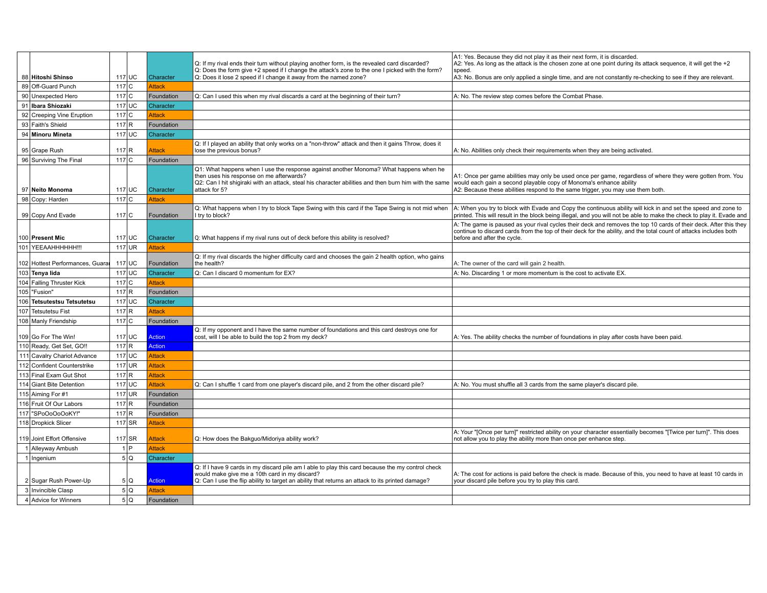| 88 Hitoshi Shinso                |                   | $117$ UC | Character     | Q: If my rival ends their turn without playing another form, is the revealed card discarded?<br>Q: Does the form give +2 speed if I change the attack's zone to the one I picked with the form?<br>Q: Does it lose 2 speed if I change it away from the named zone? | A1: Yes. Because they did not play it as their next form, it is discarded.<br>A2: Yes. As long as the attack is the chosen zone at one point during its attack sequence, it will get the +2<br>speed.<br>A3: No. Bonus are only applied a single time, and are not constantly re-checking to see if they are relevant. |
|----------------------------------|-------------------|----------|---------------|---------------------------------------------------------------------------------------------------------------------------------------------------------------------------------------------------------------------------------------------------------------------|------------------------------------------------------------------------------------------------------------------------------------------------------------------------------------------------------------------------------------------------------------------------------------------------------------------------|
| 89 Off-Guard Punch               | 117C              |          | <b>Attack</b> |                                                                                                                                                                                                                                                                     |                                                                                                                                                                                                                                                                                                                        |
| 90 Unexpected Hero               | 117 <sub>CI</sub> |          | Foundation    | Q: Can I used this when my rival discards a card at the beginning of their turn?                                                                                                                                                                                    | A: No. The review step comes before the Combat Phase.                                                                                                                                                                                                                                                                  |
| 91 Ibara Shiozaki                |                   | $117$ UC | Character     |                                                                                                                                                                                                                                                                     |                                                                                                                                                                                                                                                                                                                        |
| 92 Creeping Vine Eruption        | $117$ C           |          | <b>Attack</b> |                                                                                                                                                                                                                                                                     |                                                                                                                                                                                                                                                                                                                        |
| 93 Faith's Shield                | 117 R             |          | Foundation    |                                                                                                                                                                                                                                                                     |                                                                                                                                                                                                                                                                                                                        |
| 94 Minoru Mineta                 | $117$ UC          |          | Character     |                                                                                                                                                                                                                                                                     |                                                                                                                                                                                                                                                                                                                        |
| 95 Grape Rush                    | 117 R             |          | Attack        | Q: If I played an ability that only works on a "non-throw" attack and then it gains Throw, does it<br>lose the previous bonus?                                                                                                                                      | A: No. Abilities only check their requirements when they are being activated.                                                                                                                                                                                                                                          |
| 96 Surviving The Final           | $117$ C           |          | Foundation    |                                                                                                                                                                                                                                                                     |                                                                                                                                                                                                                                                                                                                        |
| 97 Neito Monoma                  |                   | 117 UC   | Character     | Q1: What happens when I use the response against another Monoma? What happens when he<br>then uses his response on me afterwards?<br>Q2: Can I hit shigiraki with an attack, steal his character abilities and then burn him with the same<br>attack for 5?         | A1: Once per game abilities may only be used once per game, regardless of where they were gotten from. You<br>would each gain a second playable copy of Monoma's enhance ability<br>A2: Because these abilities respond to the same trigger, you may use them both.                                                    |
| 98 Copy: Harden                  | $117$ C           |          | Attack        |                                                                                                                                                                                                                                                                     |                                                                                                                                                                                                                                                                                                                        |
| 99 Copy And Evade                | 117C              |          | Foundation    | Q: What happens when I try to block Tape Swing with this card if the Tape Swing is not mid when<br>I try to block?                                                                                                                                                  | A: When you try to block with Evade and Copy the continuous ability will kick in and set the speed and zone to<br>printed. This will result in the block being illegal, and you will not be able to make the check to play it. Evade and                                                                               |
| 100 Present Mic                  |                   | 117 UC   | Character     | Q: What happens if my rival runs out of deck before this ability is resolved?                                                                                                                                                                                       | A: The game is paused as your rival cycles their deck and removes the top 10 cards of their deck. After this they<br>continue to discard cards from the top of their deck for the ability, and the total count of attacks includes both<br>before and after the cycle.                                                 |
| 101 YEEAAHHHHHH!!!               |                   | $117$ UR | Attack        |                                                                                                                                                                                                                                                                     |                                                                                                                                                                                                                                                                                                                        |
| 102 Hottest Performances, Guarar | 117 UC            |          | Foundation    | Q: If my rival discards the higher difficulty card and chooses the gain 2 health option, who gains<br>the health?                                                                                                                                                   | A: The owner of the card will gain 2 health.                                                                                                                                                                                                                                                                           |
| 103 Tenya lida                   |                   | $117$ UC | Character     | Q: Can I discard 0 momentum for EX?                                                                                                                                                                                                                                 | A: No. Discarding 1 or more momentum is the cost to activate EX.                                                                                                                                                                                                                                                       |
| 104 Falling Thruster Kick        | 117C              |          | <b>Attack</b> |                                                                                                                                                                                                                                                                     |                                                                                                                                                                                                                                                                                                                        |
| 105   "Fusion"                   | 117 R             |          | Foundation    |                                                                                                                                                                                                                                                                     |                                                                                                                                                                                                                                                                                                                        |
| 106 Tetsutestsu Tetsutetsu       | 117 UC            |          | Character     |                                                                                                                                                                                                                                                                     |                                                                                                                                                                                                                                                                                                                        |
| 107 Tetsutetsu Fist              | 117 R             |          | <b>Attack</b> |                                                                                                                                                                                                                                                                     |                                                                                                                                                                                                                                                                                                                        |
| 108 Manly Friendship             | 117C              |          | Foundation    |                                                                                                                                                                                                                                                                     |                                                                                                                                                                                                                                                                                                                        |
| 109 Go For The Win!              |                   | $117$ UC | Action        | Q: If my opponent and I have the same number of foundations and this card destroys one for<br>cost, will I be able to build the top 2 from my deck?                                                                                                                 | A: Yes. The ability checks the number of foundations in play after costs have been paid.                                                                                                                                                                                                                               |
| 110 Ready, Get Set, GO !!        | 117 R             |          | Action        |                                                                                                                                                                                                                                                                     |                                                                                                                                                                                                                                                                                                                        |
| 111 Cavalry Chariot Advance      | 117 UC            |          | Attack        |                                                                                                                                                                                                                                                                     |                                                                                                                                                                                                                                                                                                                        |
| 112 Confident Counterstrike      | $117$ UR          |          | Attack        |                                                                                                                                                                                                                                                                     |                                                                                                                                                                                                                                                                                                                        |
| 113 Final Exam Gut Shot          | 117 R             |          | Attack        |                                                                                                                                                                                                                                                                     |                                                                                                                                                                                                                                                                                                                        |
| 114 Giant Bite Detention         | $117$ UC          |          | Attack        | Q: Can I shuffle 1 card from one player's discard pile, and 2 from the other discard pile?                                                                                                                                                                          | A: No. You must shuffle all 3 cards from the same player's discard pile.                                                                                                                                                                                                                                               |
| 115 Aiming For #1                |                   | $117$ UR | Foundation    |                                                                                                                                                                                                                                                                     |                                                                                                                                                                                                                                                                                                                        |
| 116 Fruit Of Our Labors          | 117 R             |          | Foundation    |                                                                                                                                                                                                                                                                     |                                                                                                                                                                                                                                                                                                                        |
| 117 "SPoOoOoOoKY!"               | $117$ R           |          | Foundation    |                                                                                                                                                                                                                                                                     |                                                                                                                                                                                                                                                                                                                        |
| 118 Dropkick Slicer              |                   | $117$ SR | Attack        |                                                                                                                                                                                                                                                                     |                                                                                                                                                                                                                                                                                                                        |
| 119 Joint Effort Offensive       | $117$ SR          |          | Attack        | Q: How does the Bakguo/Midoriya ability work?                                                                                                                                                                                                                       | A: Your "[Once per turn]" restricted ability on your character essentially becomes "[Twice per turn]". This does<br>not allow you to play the ability more than once per enhance step.                                                                                                                                 |
| 1 Alleyway Ambush                |                   | $1$ $P$  | Attack        |                                                                                                                                                                                                                                                                     |                                                                                                                                                                                                                                                                                                                        |
| 1 Ingenium                       |                   | 5Q       | Character     |                                                                                                                                                                                                                                                                     |                                                                                                                                                                                                                                                                                                                        |
| 2 Sugar Rush Power-Up            |                   | 5Q       | Action        | Q: If I have 9 cards in my discard pile am I able to play this card because the my control check<br>would make give me a 10th card in my discard?<br>Q: Can I use the flip ability to target an ability that returns an attack to its printed damage?               | A: The cost for actions is paid before the check is made. Because of this, you need to have at least 10 cards in<br>your discard pile before you try to play this card.                                                                                                                                                |
| 3 Invincible Clasp               |                   | 5Q       | Attack        |                                                                                                                                                                                                                                                                     |                                                                                                                                                                                                                                                                                                                        |
| 4 Advice for Winners             |                   | 5Q       | Foundation    |                                                                                                                                                                                                                                                                     |                                                                                                                                                                                                                                                                                                                        |
|                                  |                   |          |               |                                                                                                                                                                                                                                                                     |                                                                                                                                                                                                                                                                                                                        |